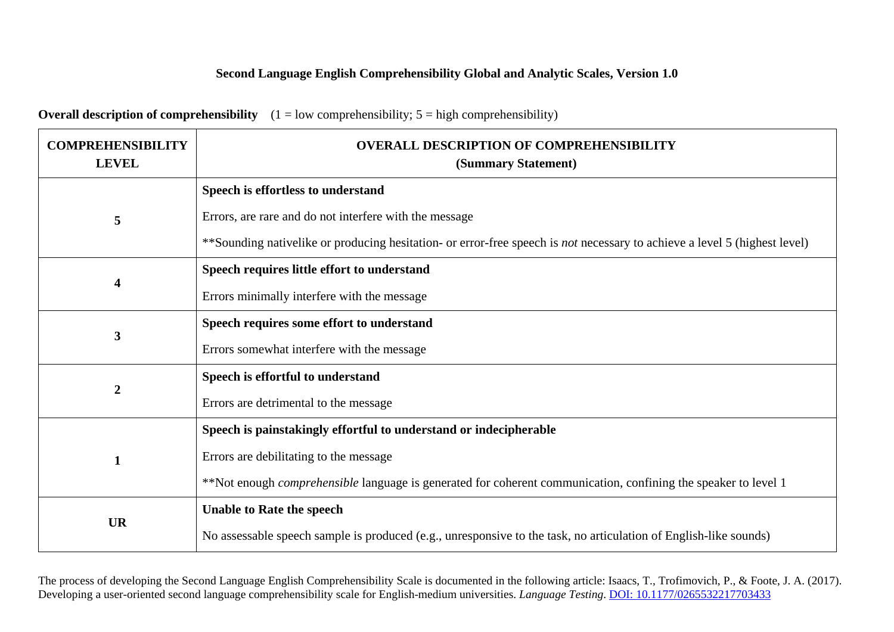## **Second Language English Comprehensibility Global and Analytic Scales, Version 1.0**

| <b>Overall description of comprehensibility</b> $(1 = low$ comprehensibility; $5 = high$ comprehensibility) |  |
|-------------------------------------------------------------------------------------------------------------|--|
|                                                                                                             |  |

| <b>COMPREHENSIBILITY</b><br><b>LEVEL</b> | <b>OVERALL DESCRIPTION OF COMPREHENSIBILITY</b><br>(Summary Statement)                                                           |  |  |
|------------------------------------------|----------------------------------------------------------------------------------------------------------------------------------|--|--|
|                                          | Speech is effortless to understand                                                                                               |  |  |
| 5                                        | Errors, are rare and do not interfere with the message                                                                           |  |  |
|                                          | **Sounding nativelike or producing hesitation- or error-free speech is <i>not</i> necessary to achieve a level 5 (highest level) |  |  |
| $\overline{\mathbf{4}}$                  | Speech requires little effort to understand                                                                                      |  |  |
|                                          | Errors minimally interfere with the message                                                                                      |  |  |
| 3                                        | Speech requires some effort to understand                                                                                        |  |  |
|                                          | Errors somewhat interfere with the message                                                                                       |  |  |
| $\boldsymbol{2}$                         | Speech is effortful to understand                                                                                                |  |  |
|                                          | Errors are detrimental to the message                                                                                            |  |  |
|                                          | Speech is painstakingly effortful to understand or indecipherable                                                                |  |  |
| $\mathbf{1}$                             | Errors are debilitating to the message                                                                                           |  |  |
|                                          | **Not enough <i>comprehensible</i> language is generated for coherent communication, confining the speaker to level 1            |  |  |
| <b>UR</b>                                | <b>Unable to Rate the speech</b>                                                                                                 |  |  |
|                                          | No assessable speech sample is produced (e.g., unresponsive to the task, no articulation of English-like sounds)                 |  |  |

The process of developing the Second Language English Comprehensibility Scale is documented in the following article: Isaacs, T., Trofimovich, P., & Foote, J. A. (2017). Developing a user-oriented second language comprehensibility scale for English-medium universities. *Language Testing*[. DOI: 10.1177/0265532217703433](http://journals.sagepub.com/doi/10.1177/0265532217703433)